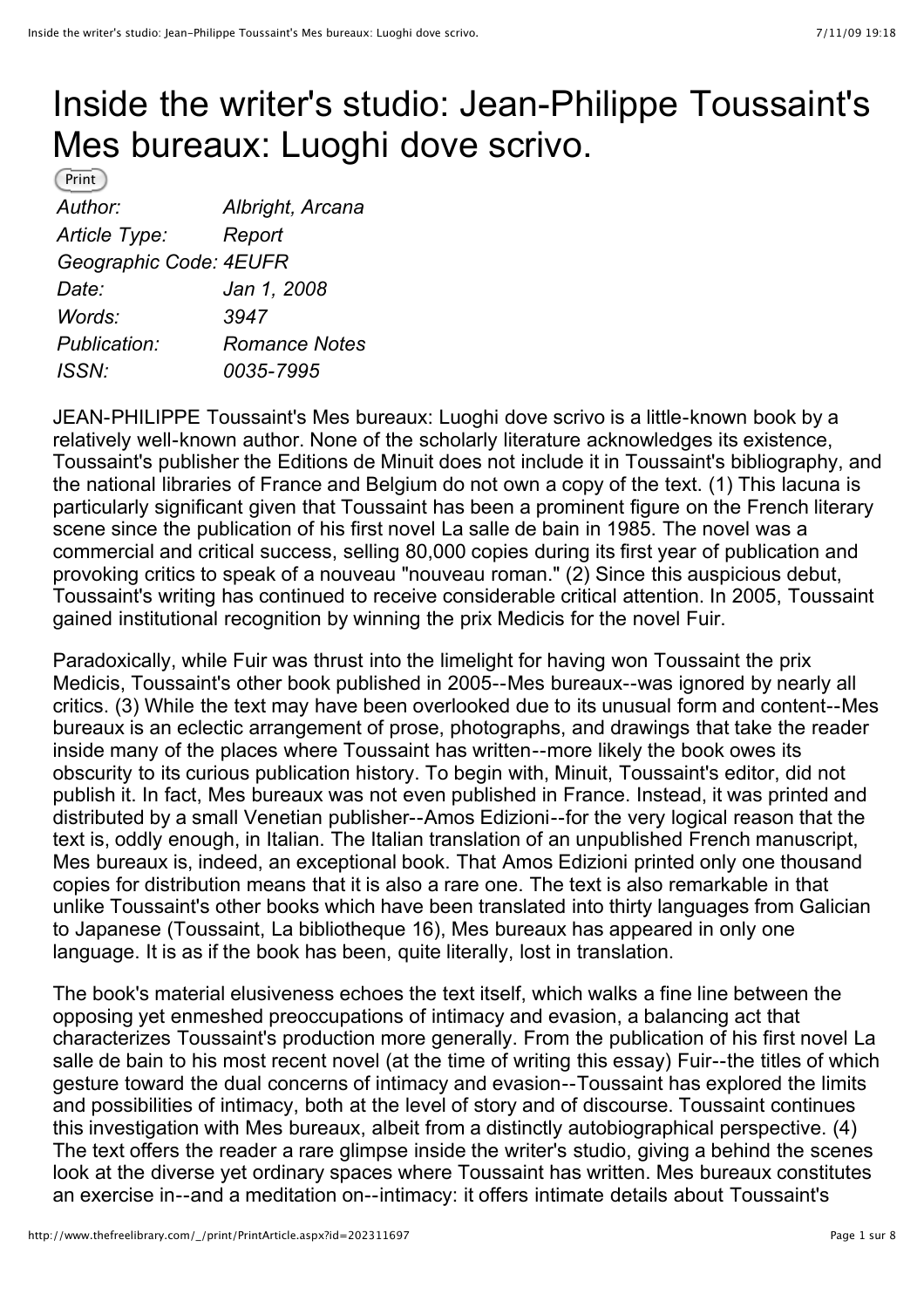## Inside the writer's studio: Jean-Philippe Toussaint's Mes bureaux: Luoghi dove scrivo.

| - - - - - - - -        |                      |
|------------------------|----------------------|
| Author:                | Albright, Arcana     |
| Article Type:          | Report               |
| Geographic Code: 4EUFR |                      |
| Date:                  | Jan 1, 2008          |
| Words:                 | 3947                 |
| Publication:           | <b>Romance Notes</b> |
| <b>ISSN:</b>           | 0035-7995            |
|                        |                      |

**Print** 

JEAN-PHILIPPE Toussaint's Mes bureaux: Luoghi dove scrivo is a little-known book by a relatively well-known author. None of the scholarly literature acknowledges its existence, Toussaint's publisher the Editions de Minuit does not include it in Toussaint's bibliography, and the national libraries of France and Belgium do not own a copy of the text. (1) This lacuna is particularly significant given that Toussaint has been a prominent figure on the French literary scene since the publication of his first novel La salle de bain in 1985. The novel was a commercial and critical success, selling 80,000 copies during its first year of publication and provoking critics to speak of a nouveau "nouveau roman." (2) Since this auspicious debut, Toussaint's writing has continued to receive considerable critical attention. In 2005, Toussaint gained institutional recognition by winning the prix Medicis for the novel Fuir.

Paradoxically, while Fuir was thrust into the limelight for having won Toussaint the prix Medicis, Toussaint's other book published in 2005--Mes bureaux--was ignored by nearly all critics. (3) While the text may have been overlooked due to its unusual form and content--Mes bureaux is an eclectic arrangement of prose, photographs, and drawings that take the reader inside many of the places where Toussaint has written--more likely the book owes its obscurity to its curious publication history. To begin with, Minuit, Toussaint's editor, did not publish it. In fact, Mes bureaux was not even published in France. Instead, it was printed and distributed by a small Venetian publisher--Amos Edizioni--for the very logical reason that the text is, oddly enough, in Italian. The Italian translation of an unpublished French manuscript, Mes bureaux is, indeed, an exceptional book. That Amos Edizioni printed only one thousand copies for distribution means that it is also a rare one. The text is also remarkable in that unlike Toussaint's other books which have been translated into thirty languages from Galician to Japanese (Toussaint, La bibliotheque 16), Mes bureaux has appeared in only one language. It is as if the book has been, quite literally, lost in translation.

The book's material elusiveness echoes the text itself, which walks a fine line between the opposing yet enmeshed preoccupations of intimacy and evasion, a balancing act that characterizes Toussaint's production more generally. From the publication of his first novel La salle de bain to his most recent novel (at the time of writing this essay) Fuir--the titles of which gesture toward the dual concerns of intimacy and evasion--Toussaint has explored the limits and possibilities of intimacy, both at the level of story and of discourse. Toussaint continues this investigation with Mes bureaux, albeit from a distinctly autobiographical perspective. (4) The text offers the reader a rare glimpse inside the writer's studio, giving a behind the scenes look at the diverse yet ordinary spaces where Toussaint has written. Mes bureaux constitutes an exercise in--and a meditation on--intimacy: it offers intimate details about Toussaint's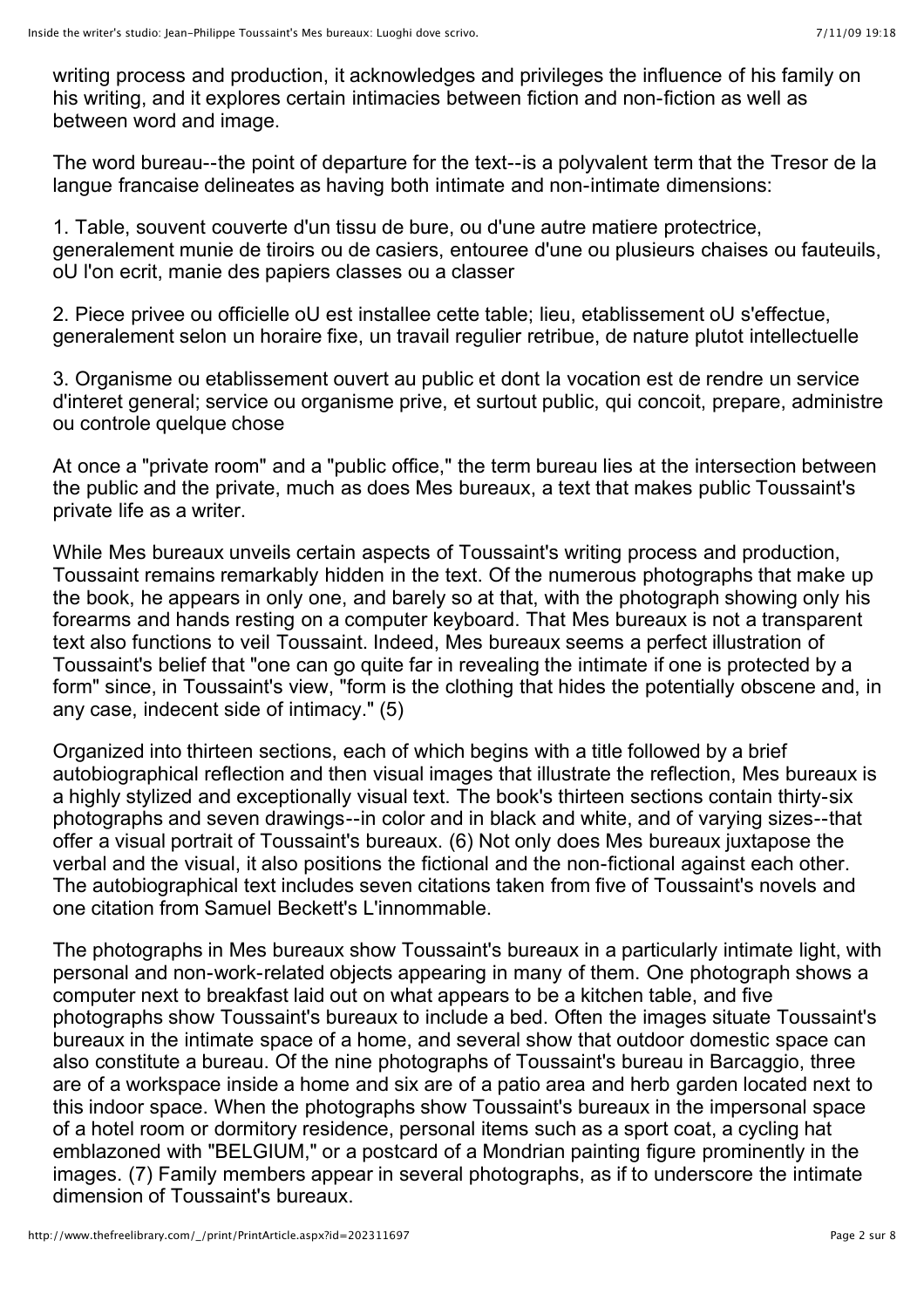writing process and production, it acknowledges and privileges the influence of his family on his writing, and it explores certain intimacies between fiction and non-fiction as well as between word and image.

The word bureau--the point of departure for the text--is a polyvalent term that the Tresor de la langue francaise delineates as having both intimate and non-intimate dimensions:

1. Table, souvent couverte d'un tissu de bure, ou d'une autre matiere protectrice, generalement munie de tiroirs ou de casiers, entouree d'une ou plusieurs chaises ou fauteuils, oU l'on ecrit, manie des papiers classes ou a classer

2. Piece privee ou officielle oU est installee cette table; lieu, etablissement oU s'effectue, generalement selon un horaire fixe, un travail regulier retribue, de nature plutot intellectuelle

3. Organisme ou etablissement ouvert au public et dont la vocation est de rendre un service d'interet general; service ou organisme prive, et surtout public, qui concoit, prepare, administre ou controle quelque chose

At once a "private room" and a "public office," the term bureau lies at the intersection between the public and the private, much as does Mes bureaux, a text that makes public Toussaint's private life as a writer.

While Mes bureaux unveils certain aspects of Toussaint's writing process and production, Toussaint remains remarkably hidden in the text. Of the numerous photographs that make up the book, he appears in only one, and barely so at that, with the photograph showing only his forearms and hands resting on a computer keyboard. That Mes bureaux is not a transparent text also functions to veil Toussaint. Indeed, Mes bureaux seems a perfect illustration of Toussaint's belief that "one can go quite far in revealing the intimate if one is protected by a form" since, in Toussaint's view, "form is the clothing that hides the potentially obscene and, in any case, indecent side of intimacy." (5)

Organized into thirteen sections, each of which begins with a title followed by a brief autobiographical reflection and then visual images that illustrate the reflection, Mes bureaux is a highly stylized and exceptionally visual text. The book's thirteen sections contain thirty-six photographs and seven drawings--in color and in black and white, and of varying sizes--that offer a visual portrait of Toussaint's bureaux. (6) Not only does Mes bureaux juxtapose the verbal and the visual, it also positions the fictional and the non-fictional against each other. The autobiographical text includes seven citations taken from five of Toussaint's novels and one citation from Samuel Beckett's L'innommable.

The photographs in Mes bureaux show Toussaint's bureaux in a particularly intimate light, with personal and non-work-related objects appearing in many of them. One photograph shows a computer next to breakfast laid out on what appears to be a kitchen table, and five photographs show Toussaint's bureaux to include a bed. Often the images situate Toussaint's bureaux in the intimate space of a home, and several show that outdoor domestic space can also constitute a bureau. Of the nine photographs of Toussaint's bureau in Barcaggio, three are of a workspace inside a home and six are of a patio area and herb garden located next to this indoor space. When the photographs show Toussaint's bureaux in the impersonal space of a hotel room or dormitory residence, personal items such as a sport coat, a cycling hat emblazoned with "BELGIUM," or a postcard of a Mondrian painting figure prominently in the images. (7) Family members appear in several photographs, as if to underscore the intimate dimension of Toussaint's bureaux.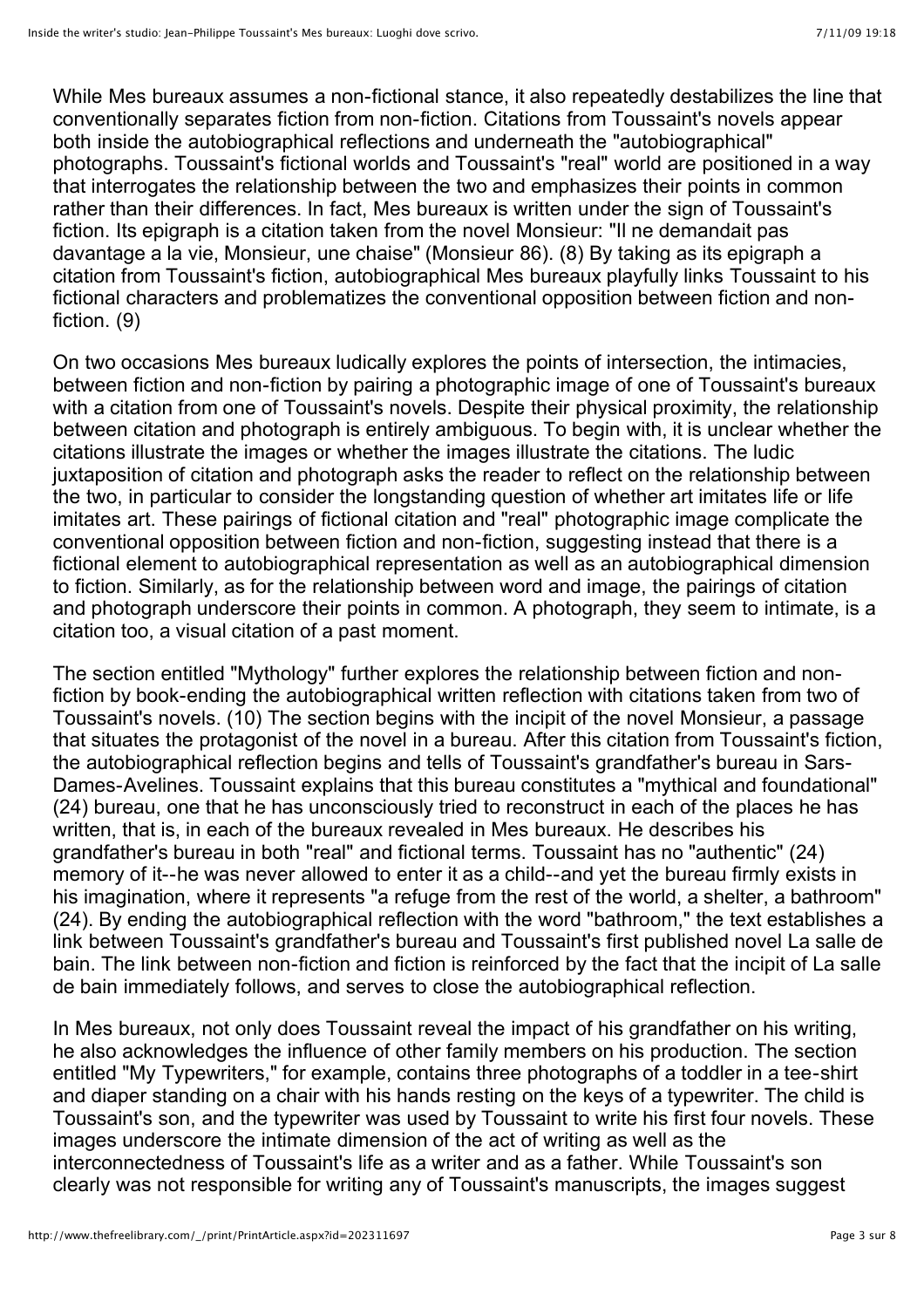While Mes bureaux assumes a non-fictional stance, it also repeatedly destabilizes the line that conventionally separates fiction from non-fiction. Citations from Toussaint's novels appear both inside the autobiographical reflections and underneath the "autobiographical" photographs. Toussaint's fictional worlds and Toussaint's "real" world are positioned in a way that interrogates the relationship between the two and emphasizes their points in common rather than their differences. In fact, Mes bureaux is written under the sign of Toussaint's fiction. Its epigraph is a citation taken from the novel Monsieur: "Il ne demandait pas davantage a la vie, Monsieur, une chaise" (Monsieur 86). (8) By taking as its epigraph a citation from Toussaint's fiction, autobiographical Mes bureaux playfully links Toussaint to his fictional characters and problematizes the conventional opposition between fiction and nonfiction. (9)

On two occasions Mes bureaux ludically explores the points of intersection, the intimacies, between fiction and non-fiction by pairing a photographic image of one of Toussaint's bureaux with a citation from one of Toussaint's novels. Despite their physical proximity, the relationship between citation and photograph is entirely ambiguous. To begin with, it is unclear whether the citations illustrate the images or whether the images illustrate the citations. The ludic juxtaposition of citation and photograph asks the reader to reflect on the relationship between the two, in particular to consider the longstanding question of whether art imitates life or life imitates art. These pairings of fictional citation and "real" photographic image complicate the conventional opposition between fiction and non-fiction, suggesting instead that there is a fictional element to autobiographical representation as well as an autobiographical dimension to fiction. Similarly, as for the relationship between word and image, the pairings of citation and photograph underscore their points in common. A photograph, they seem to intimate, is a citation too, a visual citation of a past moment.

The section entitled "Mythology" further explores the relationship between fiction and nonfiction by book-ending the autobiographical written reflection with citations taken from two of Toussaint's novels. (10) The section begins with the incipit of the novel Monsieur, a passage that situates the protagonist of the novel in a bureau. After this citation from Toussaint's fiction, the autobiographical reflection begins and tells of Toussaint's grandfather's bureau in Sars-Dames-Avelines. Toussaint explains that this bureau constitutes a "mythical and foundational" (24) bureau, one that he has unconsciously tried to reconstruct in each of the places he has written, that is, in each of the bureaux revealed in Mes bureaux. He describes his grandfather's bureau in both "real" and fictional terms. Toussaint has no "authentic" (24) memory of it--he was never allowed to enter it as a child--and yet the bureau firmly exists in his imagination, where it represents "a refuge from the rest of the world, a shelter, a bathroom" (24). By ending the autobiographical reflection with the word "bathroom," the text establishes a link between Toussaint's grandfather's bureau and Toussaint's first published novel La salle de bain. The link between non-fiction and fiction is reinforced by the fact that the incipit of La salle de bain immediately follows, and serves to close the autobiographical reflection.

In Mes bureaux, not only does Toussaint reveal the impact of his grandfather on his writing, he also acknowledges the influence of other family members on his production. The section entitled "My Typewriters," for example, contains three photographs of a toddler in a tee-shirt and diaper standing on a chair with his hands resting on the keys of a typewriter. The child is Toussaint's son, and the typewriter was used by Toussaint to write his first four novels. These images underscore the intimate dimension of the act of writing as well as the interconnectedness of Toussaint's life as a writer and as a father. While Toussaint's son clearly was not responsible for writing any of Toussaint's manuscripts, the images suggest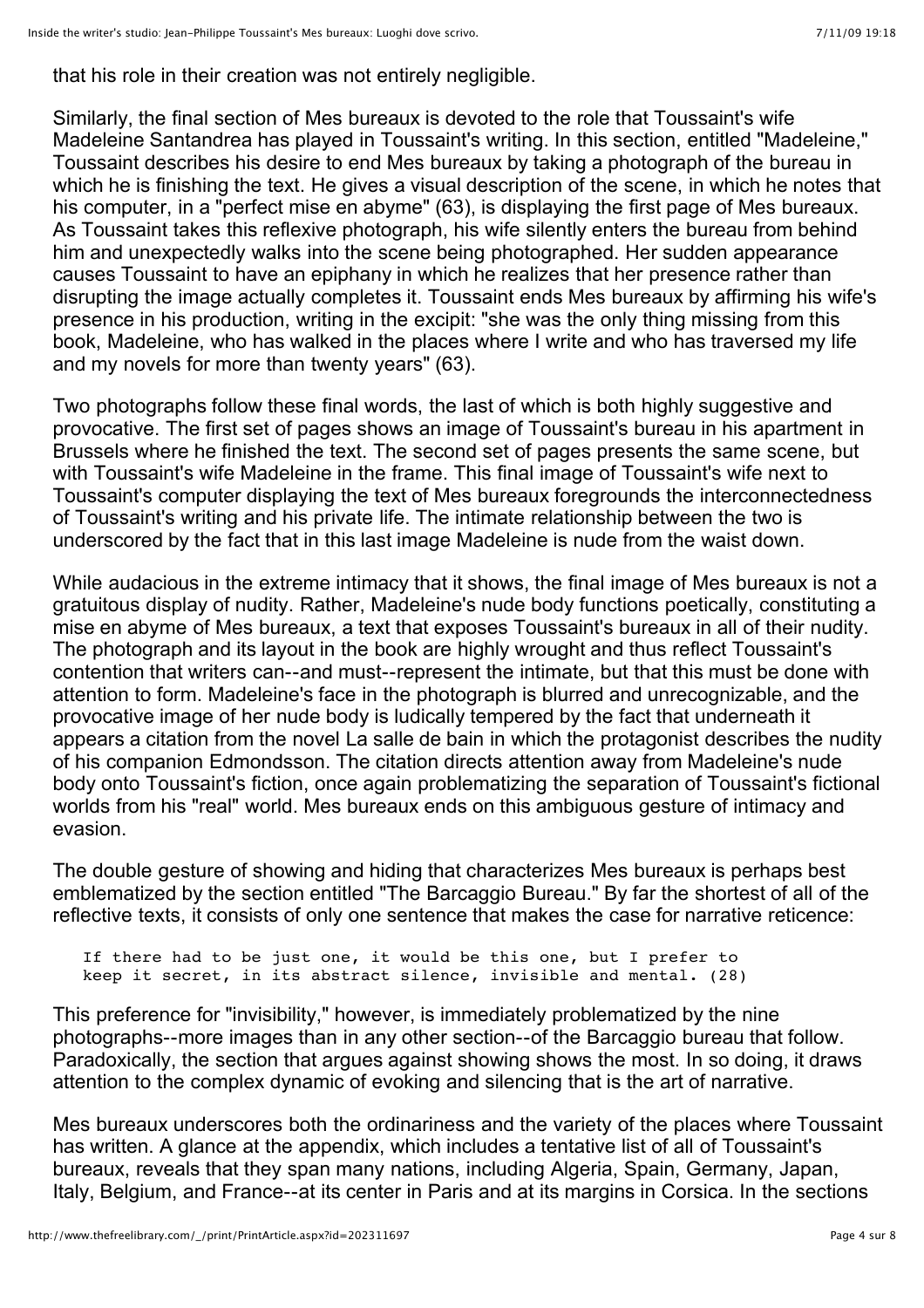that his role in their creation was not entirely negligible.

Similarly, the final section of Mes bureaux is devoted to the role that Toussaint's wife Madeleine Santandrea has played in Toussaint's writing. In this section, entitled "Madeleine," Toussaint describes his desire to end Mes bureaux by taking a photograph of the bureau in which he is finishing the text. He gives a visual description of the scene, in which he notes that his computer, in a "perfect mise en abyme" (63), is displaying the first page of Mes bureaux. As Toussaint takes this reflexive photograph, his wife silently enters the bureau from behind him and unexpectedly walks into the scene being photographed. Her sudden appearance causes Toussaint to have an epiphany in which he realizes that her presence rather than disrupting the image actually completes it. Toussaint ends Mes bureaux by affirming his wife's presence in his production, writing in the excipit: "she was the only thing missing from this book, Madeleine, who has walked in the places where I write and who has traversed my life and my novels for more than twenty years" (63).

Two photographs follow these final words, the last of which is both highly suggestive and provocative. The first set of pages shows an image of Toussaint's bureau in his apartment in Brussels where he finished the text. The second set of pages presents the same scene, but with Toussaint's wife Madeleine in the frame. This final image of Toussaint's wife next to Toussaint's computer displaying the text of Mes bureaux foregrounds the interconnectedness of Toussaint's writing and his private life. The intimate relationship between the two is underscored by the fact that in this last image Madeleine is nude from the waist down.

While audacious in the extreme intimacy that it shows, the final image of Mes bureaux is not a gratuitous display of nudity. Rather, Madeleine's nude body functions poetically, constituting a mise en abyme of Mes bureaux, a text that exposes Toussaint's bureaux in all of their nudity. The photograph and its layout in the book are highly wrought and thus reflect Toussaint's contention that writers can--and must--represent the intimate, but that this must be done with attention to form. Madeleine's face in the photograph is blurred and unrecognizable, and the provocative image of her nude body is ludically tempered by the fact that underneath it appears a citation from the novel La salle de bain in which the protagonist describes the nudity of his companion Edmondsson. The citation directs attention away from Madeleine's nude body onto Toussaint's fiction, once again problematizing the separation of Toussaint's fictional worlds from his "real" world. Mes bureaux ends on this ambiguous gesture of intimacy and evasion.

The double gesture of showing and hiding that characterizes Mes bureaux is perhaps best emblematized by the section entitled "The Barcaggio Bureau." By far the shortest of all of the reflective texts, it consists of only one sentence that makes the case for narrative reticence:

 If there had to be just one, it would be this one, but I prefer to keep it secret, in its abstract silence, invisible and mental. (28)

This preference for "invisibility," however, is immediately problematized by the nine photographs--more images than in any other section--of the Barcaggio bureau that follow. Paradoxically, the section that argues against showing shows the most. In so doing, it draws attention to the complex dynamic of evoking and silencing that is the art of narrative.

Mes bureaux underscores both the ordinariness and the variety of the places where Toussaint has written. A glance at the appendix, which includes a tentative list of all of Toussaint's bureaux, reveals that they span many nations, including Algeria, Spain, Germany, Japan, Italy, Belgium, and France--at its center in Paris and at its margins in Corsica. In the sections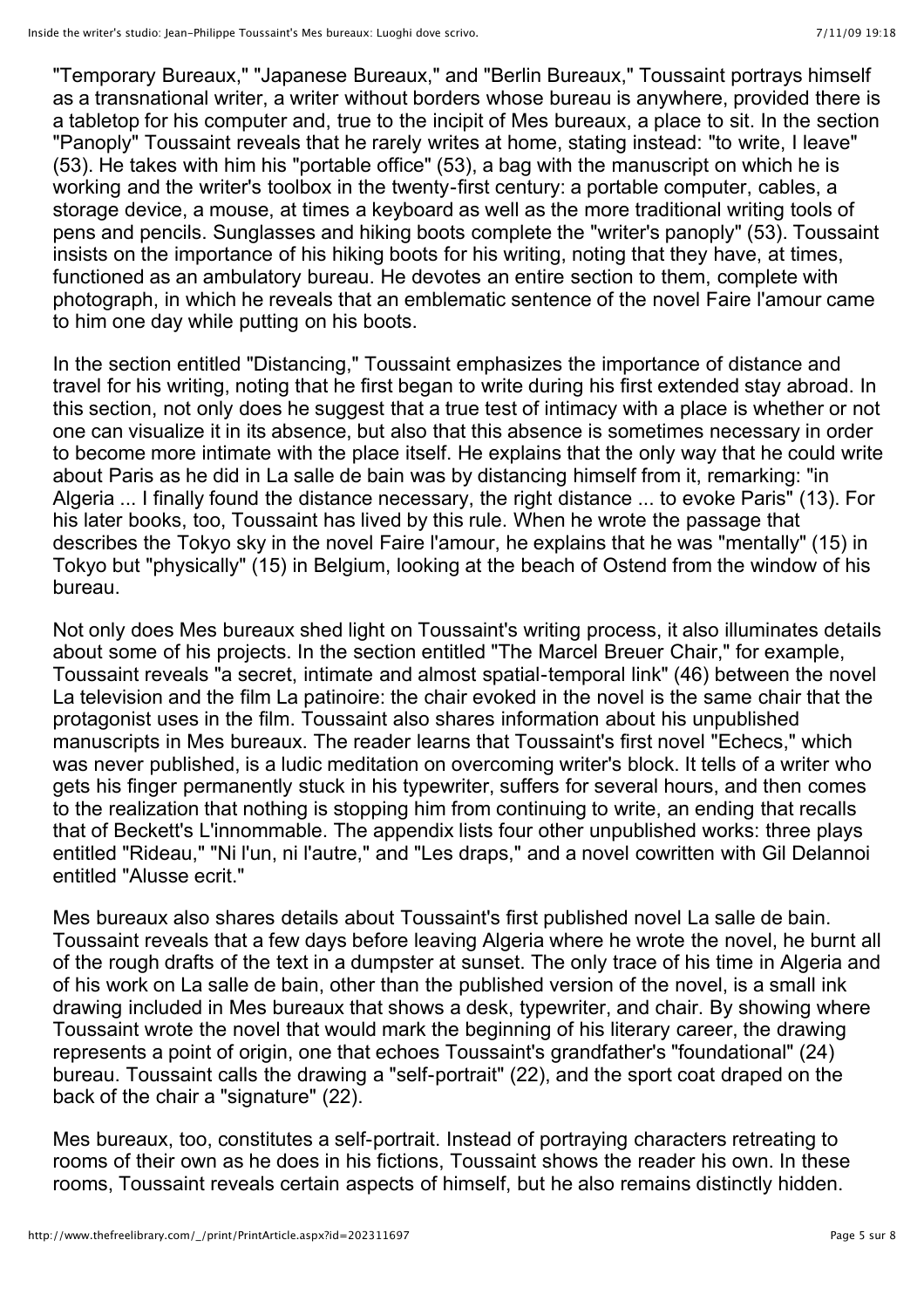"Temporary Bureaux," "Japanese Bureaux," and "Berlin Bureaux," Toussaint portrays himself as a transnational writer, a writer without borders whose bureau is anywhere, provided there is a tabletop for his computer and, true to the incipit of Mes bureaux, a place to sit. In the section "Panoply" Toussaint reveals that he rarely writes at home, stating instead: "to write, I leave" (53). He takes with him his "portable office" (53), a bag with the manuscript on which he is working and the writer's toolbox in the twenty-first century: a portable computer, cables, a storage device, a mouse, at times a keyboard as well as the more traditional writing tools of pens and pencils. Sunglasses and hiking boots complete the "writer's panoply" (53). Toussaint insists on the importance of his hiking boots for his writing, noting that they have, at times, functioned as an ambulatory bureau. He devotes an entire section to them, complete with photograph, in which he reveals that an emblematic sentence of the novel Faire l'amour came to him one day while putting on his boots.

In the section entitled "Distancing," Toussaint emphasizes the importance of distance and travel for his writing, noting that he first began to write during his first extended stay abroad. In this section, not only does he suggest that a true test of intimacy with a place is whether or not one can visualize it in its absence, but also that this absence is sometimes necessary in order to become more intimate with the place itself. He explains that the only way that he could write about Paris as he did in La salle de bain was by distancing himself from it, remarking: "in Algeria ... I finally found the distance necessary, the right distance ... to evoke Paris" (13). For his later books, too, Toussaint has lived by this rule. When he wrote the passage that describes the Tokyo sky in the novel Faire l'amour, he explains that he was "mentally" (15) in Tokyo but "physically" (15) in Belgium, looking at the beach of Ostend from the window of his bureau.

Not only does Mes bureaux shed light on Toussaint's writing process, it also illuminates details about some of his projects. In the section entitled "The Marcel Breuer Chair," for example, Toussaint reveals "a secret, intimate and almost spatial-temporal link" (46) between the novel La television and the film La patinoire: the chair evoked in the novel is the same chair that the protagonist uses in the film. Toussaint also shares information about his unpublished manuscripts in Mes bureaux. The reader learns that Toussaint's first novel "Echecs," which was never published, is a ludic meditation on overcoming writer's block. It tells of a writer who gets his finger permanently stuck in his typewriter, suffers for several hours, and then comes to the realization that nothing is stopping him from continuing to write, an ending that recalls that of Beckett's L'innommable. The appendix lists four other unpublished works: three plays entitled "Rideau," "Ni l'un, ni l'autre," and "Les draps," and a novel cowritten with Gil Delannoi entitled "Alusse ecrit."

Mes bureaux also shares details about Toussaint's first published novel La salle de bain. Toussaint reveals that a few days before leaving Algeria where he wrote the novel, he burnt all of the rough drafts of the text in a dumpster at sunset. The only trace of his time in Algeria and of his work on La salle de bain, other than the published version of the novel, is a small ink drawing included in Mes bureaux that shows a desk, typewriter, and chair. By showing where Toussaint wrote the novel that would mark the beginning of his literary career, the drawing represents a point of origin, one that echoes Toussaint's grandfather's "foundational" (24) bureau. Toussaint calls the drawing a "self-portrait" (22), and the sport coat draped on the back of the chair a "signature" (22).

Mes bureaux, too, constitutes a self-portrait. Instead of portraying characters retreating to rooms of their own as he does in his fictions, Toussaint shows the reader his own. In these rooms, Toussaint reveals certain aspects of himself, but he also remains distinctly hidden.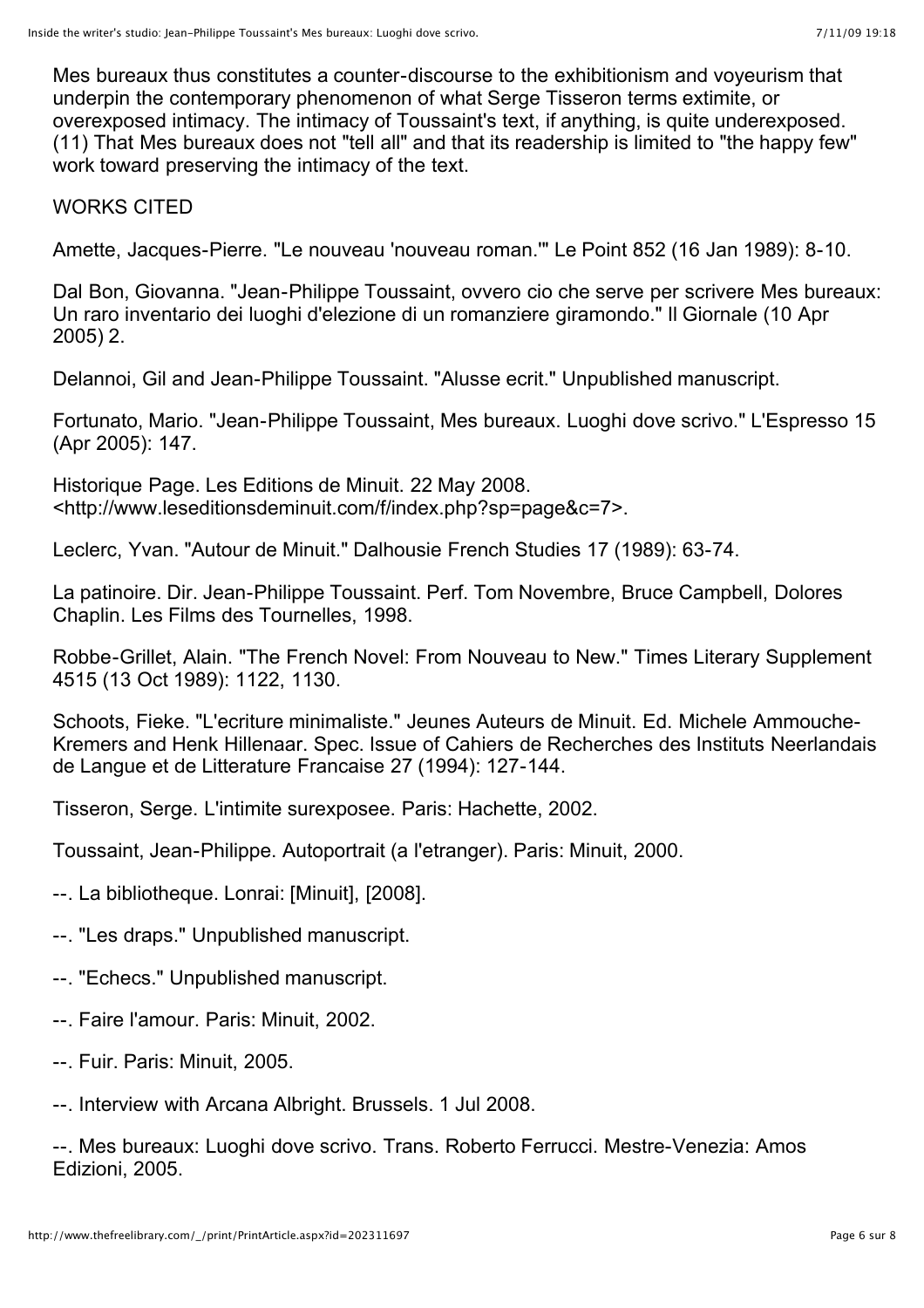Mes bureaux thus constitutes a counter-discourse to the exhibitionism and voyeurism that underpin the contemporary phenomenon of what Serge Tisseron terms extimite, or overexposed intimacy. The intimacy of Toussaint's text, if anything, is quite underexposed. (11) That Mes bureaux does not "tell all" and that its readership is limited to "the happy few" work toward preserving the intimacy of the text.

## WORKS CITED

Amette, Jacques-Pierre. "Le nouveau 'nouveau roman.'" Le Point 852 (16 Jan 1989): 8-10.

Dal Bon, Giovanna. "Jean-Philippe Toussaint, ovvero cio che serve per scrivere Mes bureaux: Un raro inventario dei luoghi d'elezione di un romanziere giramondo." Il Giornale (10 Apr 2005) 2.

Delannoi, Gil and Jean-Philippe Toussaint. "Alusse ecrit." Unpublished manuscript.

Fortunato, Mario. "Jean-Philippe Toussaint, Mes bureaux. Luoghi dove scrivo." L'Espresso 15 (Apr 2005): 147.

Historique Page. Les Editions de Minuit. 22 May 2008. <http://www.leseditionsdeminuit.com/f/index.php?sp=page&c=7>.

Leclerc, Yvan. "Autour de Minuit." Dalhousie French Studies 17 (1989): 63-74.

La patinoire. Dir. Jean-Philippe Toussaint. Perf. Tom Novembre, Bruce Campbell, Dolores Chaplin. Les Films des Tournelles, 1998.

Robbe-Grillet, Alain. "The French Novel: From Nouveau to New." Times Literary Supplement 4515 (13 Oct 1989): 1122, 1130.

Schoots, Fieke. "L'ecriture minimaliste." Jeunes Auteurs de Minuit. Ed. Michele Ammouche-Kremers and Henk Hillenaar. Spec. Issue of Cahiers de Recherches des Instituts Neerlandais de Langue et de Litterature Francaise 27 (1994): 127-144.

Tisseron, Serge. L'intimite surexposee. Paris: Hachette, 2002.

Toussaint, Jean-Philippe. Autoportrait (a l'etranger). Paris: Minuit, 2000.

--. La bibliotheque. Lonrai: [Minuit], [2008].

- --. "Les draps." Unpublished manuscript.
- --. "Echecs." Unpublished manuscript.
- --. Faire l'amour. Paris: Minuit, 2002.
- --. Fuir. Paris: Minuit, 2005.
- --. Interview with Arcana Albright. Brussels. 1 Jul 2008.

--. Mes bureaux: Luoghi dove scrivo. Trans. Roberto Ferrucci. Mestre-Venezia: Amos Edizioni, 2005.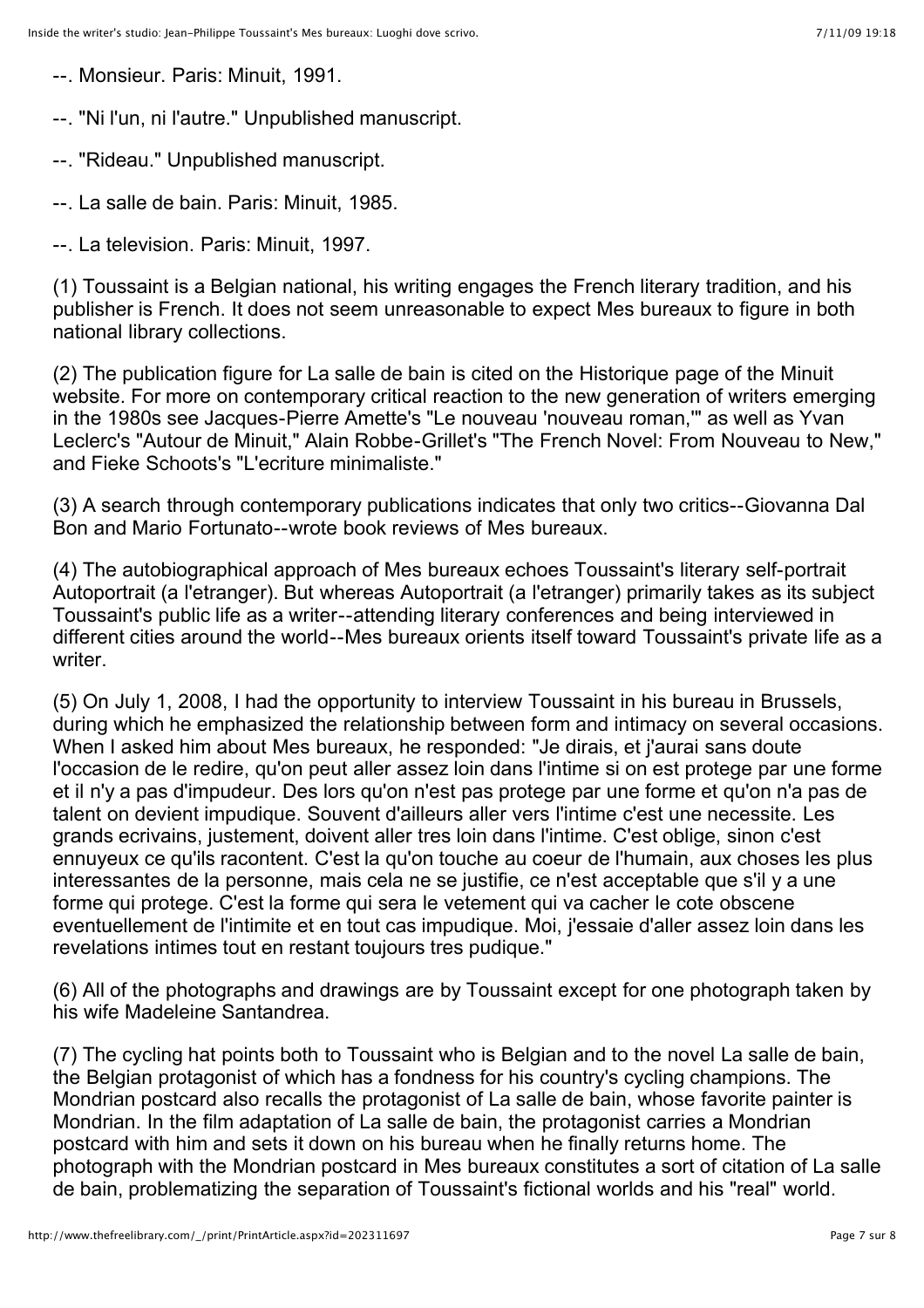- --. Monsieur. Paris: Minuit, 1991.
- --. "Ni l'un, ni l'autre." Unpublished manuscript.
- --. "Rideau." Unpublished manuscript.
- --. La salle de bain. Paris: Minuit, 1985.
- --. La television. Paris: Minuit, 1997.

(1) Toussaint is a Belgian national, his writing engages the French literary tradition, and his publisher is French. It does not seem unreasonable to expect Mes bureaux to figure in both national library collections.

(2) The publication figure for La salle de bain is cited on the Historique page of the Minuit website. For more on contemporary critical reaction to the new generation of writers emerging in the 1980s see Jacques-Pierre Amette's "Le nouveau 'nouveau roman,'" as well as Yvan Leclerc's "Autour de Minuit," Alain Robbe-Grillet's "The French Novel: From Nouveau to New," and Fieke Schoots's "L'ecriture minimaliste."

(3) A search through contemporary publications indicates that only two critics--Giovanna Dal Bon and Mario Fortunato--wrote book reviews of Mes bureaux.

(4) The autobiographical approach of Mes bureaux echoes Toussaint's literary self-portrait Autoportrait (a l'etranger). But whereas Autoportrait (a l'etranger) primarily takes as its subject Toussaint's public life as a writer--attending literary conferences and being interviewed in different cities around the world--Mes bureaux orients itself toward Toussaint's private life as a writer

(5) On July 1, 2008, I had the opportunity to interview Toussaint in his bureau in Brussels, during which he emphasized the relationship between form and intimacy on several occasions. When I asked him about Mes bureaux, he responded: "Je dirais, et j'aurai sans doute l'occasion de le redire, qu'on peut aller assez loin dans l'intime si on est protege par une forme et il n'y a pas d'impudeur. Des lors qu'on n'est pas protege par une forme et qu'on n'a pas de talent on devient impudique. Souvent d'ailleurs aller vers l'intime c'est une necessite. Les grands ecrivains, justement, doivent aller tres loin dans l'intime. C'est oblige, sinon c'est ennuyeux ce qu'ils racontent. C'est la qu'on touche au coeur de l'humain, aux choses les plus interessantes de la personne, mais cela ne se justifie, ce n'est acceptable que s'il y a une forme qui protege. C'est la forme qui sera le vetement qui va cacher le cote obscene eventuellement de l'intimite et en tout cas impudique. Moi, j'essaie d'aller assez loin dans les revelations intimes tout en restant toujours tres pudique."

(6) All of the photographs and drawings are by Toussaint except for one photograph taken by his wife Madeleine Santandrea.

(7) The cycling hat points both to Toussaint who is Belgian and to the novel La salle de bain, the Belgian protagonist of which has a fondness for his country's cycling champions. The Mondrian postcard also recalls the protagonist of La salle de bain, whose favorite painter is Mondrian. In the film adaptation of La salle de bain, the protagonist carries a Mondrian postcard with him and sets it down on his bureau when he finally returns home. The photograph with the Mondrian postcard in Mes bureaux constitutes a sort of citation of La salle de bain, problematizing the separation of Toussaint's fictional worlds and his "real" world.